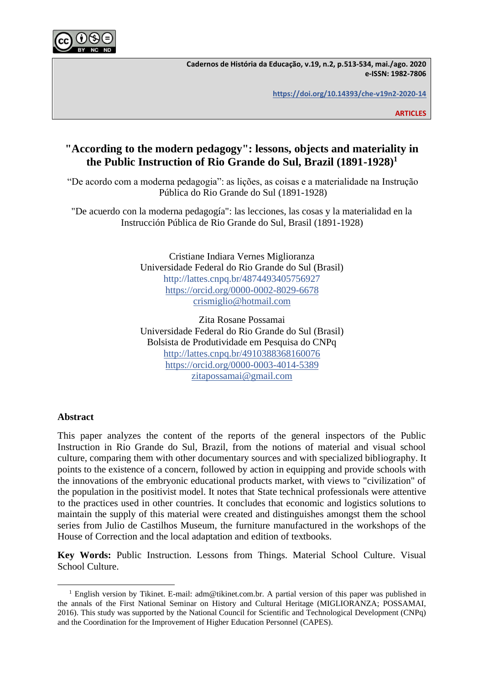

**Cadernos de História da Educação, v.19, n.2, p.513-534, mai./ago. 2020 e-ISSN: 1982-7806**

**<https://doi.org/10.14393/che-v19n2-2020-14>**

**ARTICLES**

# **"According to the modern pedagogy": lessons, objects and materiality in the Public Instruction of Rio Grande do Sul, Brazil (1891-1928)<sup>1</sup>**

"De acordo com a moderna pedagogia": as lições, as coisas e a materialidade na Instrução Pública do Rio Grande do Sul (1891-1928)

"De acuerdo con la moderna pedagogía": las lecciones, las cosas y la materialidad en la Instrucción Pública de Rio Grande do Sul, Brasil (1891-1928)

> Cristiane Indiara Vernes Miglioranza Universidade Federal do Rio Grande do Sul (Brasil) http://lattes.cnpq.br/4874493405756927 <https://orcid.org/0000-0002-8029-6678> [crismiglio@hotmail.com](mailto:crismiglio@hotmail.com)

> Zita Rosane Possamai Universidade Federal do Rio Grande do Sul (Brasil) Bolsista de Produtividade em Pesquisa do CNPq <http://lattes.cnpq.br/4910388368160076> <https://orcid.org/0000-0003-4014-5389> [zitapossamai@gmail.com](mailto:zitapossamai@gmail.com)

# **Abstract**

This paper analyzes the content of the reports of the general inspectors of the Public Instruction in Rio Grande do Sul, Brazil, from the notions of material and visual school culture, comparing them with other documentary sources and with specialized bibliography. It points to the existence of a concern, followed by action in equipping and provide schools with the innovations of the embryonic educational products market, with views to "civilization" of the population in the positivist model. It notes that State technical professionals were attentive to the practices used in other countries. It concludes that economic and logistics solutions to maintain the supply of this material were created and distinguishes amongst them the school series from Julio de Castilhos Museum, the furniture manufactured in the workshops of the House of Correction and the local adaptation and edition of textbooks.

**Key Words:** Public Instruction. Lessons from Things. Material School Culture. Visual School Culture.

<sup>&</sup>lt;sup>1</sup> English version by Tikinet. E-mail: adm@tikinet.com.br. A partial version of this paper was published in the annals of the First National Seminar on History and Cultural Heritage (MIGLIORANZA; POSSAMAI, 2016). This study was supported by the National Council for Scientific and Technological Development (CNPq) and the Coordination for the Improvement of Higher Education Personnel (CAPES).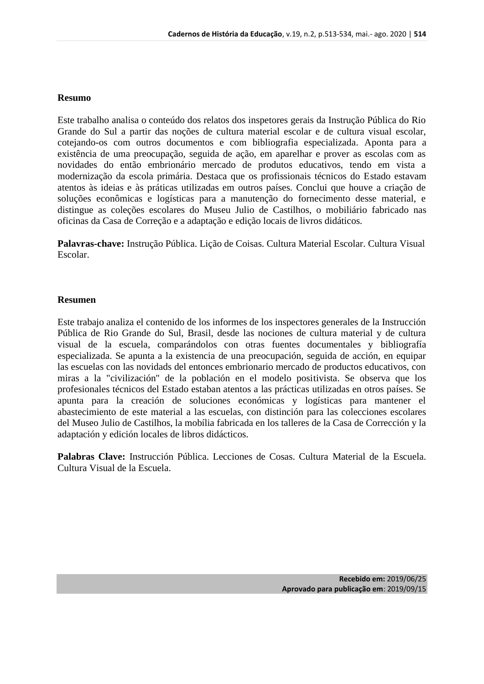### **Resumo**

Este trabalho analisa o conteúdo dos relatos dos inspetores gerais da Instrução Pública do Rio Grande do Sul a partir das noções de cultura material escolar e de cultura visual escolar, cotejando-os com outros documentos e com bibliografia especializada. Aponta para a existência de uma preocupação, seguida de ação, em aparelhar e prover as escolas com as novidades do então embrionário mercado de produtos educativos, tendo em vista a modernização da escola primária. Destaca que os profissionais técnicos do Estado estavam atentos às ideias e às práticas utilizadas em outros países. Conclui que houve a criação de soluções econômicas e logísticas para a manutenção do fornecimento desse material, e distingue as coleções escolares do Museu Julio de Castilhos, o mobiliário fabricado nas oficinas da Casa de Correção e a adaptação e edição locais de livros didáticos.

**Palavras-chave:** Instrução Pública. Lição de Coisas. Cultura Material Escolar. Cultura Visual Escolar.

#### **Resumen**

Este trabajo analiza el contenido de los informes de los inspectores generales de la Instrucción Pública de Rio Grande do Sul, Brasil, desde las nociones de cultura material y de cultura visual de la escuela, comparándolos con otras fuentes documentales y bibliografía especializada. Se apunta a la existencia de una preocupación, seguida de acción, en equipar las escuelas con las novidads del entonces embrionario mercado de productos educativos, con miras a la "civilización" de la población en el modelo positivista. Se observa que los profesionales técnicos del Estado estaban atentos a las prácticas utilizadas en otros países. Se apunta para la creación de soluciones económicas y logísticas para mantener el abastecimiento de este material a las escuelas, con distinción para las colecciones escolares del Museo Julio de Castilhos, la mobília fabricada en los talleres de la Casa de Corrección y la adaptación y edición locales de libros didácticos.

**Palabras Clave:** Instrucción Pública. Lecciones de Cosas. Cultura Material de la Escuela. Cultura Visual de la Escuela.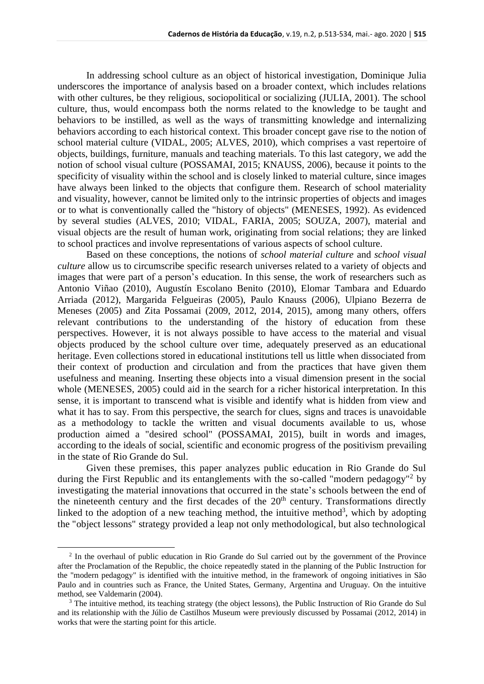In addressing school culture as an object of historical investigation, Dominique Julia underscores the importance of analysis based on a broader context, which includes relations with other cultures, be they religious, sociopolitical or socializing (JULIA, 2001). The school culture, thus, would encompass both the norms related to the knowledge to be taught and behaviors to be instilled, as well as the ways of transmitting knowledge and internalizing behaviors according to each historical context. This broader concept gave rise to the notion of school material culture (VIDAL, 2005; ALVES, 2010), which comprises a vast repertoire of objects, buildings, furniture, manuals and teaching materials. To this last category, we add the notion of school visual culture (POSSAMAI, 2015; KNAUSS, 2006), because it points to the specificity of visuality within the school and is closely linked to material culture, since images have always been linked to the objects that configure them. Research of school materiality and visuality, however, cannot be limited only to the intrinsic properties of objects and images or to what is conventionally called the "history of objects" (MENESES, 1992). As evidenced by several studies (ALVES, 2010; VIDAL, FARIA, 2005; SOUZA, 2007), material and visual objects are the result of human work, originating from social relations; they are linked to school practices and involve representations of various aspects of school culture.

Based on these conceptions, the notions of *school material culture* and *school visual culture* allow us to circumscribe specific research universes related to a variety of objects and images that were part of a person's education. In this sense, the work of researchers such as Antonio Viñao (2010), Augustín Escolano Benito (2010), Elomar Tambara and Eduardo Arriada (2012), Margarida Felgueiras (2005), Paulo Knauss (2006), Ulpiano Bezerra de Meneses (2005) and Zita Possamai (2009, 2012, 2014, 2015), among many others, offers relevant contributions to the understanding of the history of education from these perspectives. However, it is not always possible to have access to the material and visual objects produced by the school culture over time, adequately preserved as an educational heritage. Even collections stored in educational institutions tell us little when dissociated from their context of production and circulation and from the practices that have given them usefulness and meaning. Inserting these objects into a visual dimension present in the social whole (MENESES, 2005) could aid in the search for a richer historical interpretation. In this sense, it is important to transcend what is visible and identify what is hidden from view and what it has to say. From this perspective, the search for clues, signs and traces is unavoidable as a methodology to tackle the written and visual documents available to us, whose production aimed a "desired school" (POSSAMAI, 2015), built in words and images, according to the ideals of social, scientific and economic progress of the positivism prevailing in the state of Rio Grande do Sul.

Given these premises, this paper analyzes public education in Rio Grande do Sul during the First Republic and its entanglements with the so-called "modern pedagogy"<sup>2</sup> by investigating the material innovations that occurred in the state's schools between the end of the nineteenth century and the first decades of the  $20<sup>th</sup>$  century. Transformations directly linked to the adoption of a new teaching method, the intuitive method<sup>3</sup>, which by adopting the "object lessons" strategy provided a leap not only methodological, but also technological

 $2$  In the overhaul of public education in Rio Grande do Sul carried out by the government of the Province after the Proclamation of the Republic, the choice repeatedly stated in the planning of the Public Instruction for the "modern pedagogy" is identified with the intuitive method, in the framework of ongoing initiatives in São Paulo and in countries such as France, the United States, Germany, Argentina and Uruguay. On the intuitive method, see Valdemarin (2004).

<sup>&</sup>lt;sup>3</sup> The intuitive method, its teaching strategy (the object lessons), the Public Instruction of Rio Grande do Sul and its relationship with the Júlio de Castilhos Museum were previously discussed by Possamai (2012, 2014) in works that were the starting point for this article.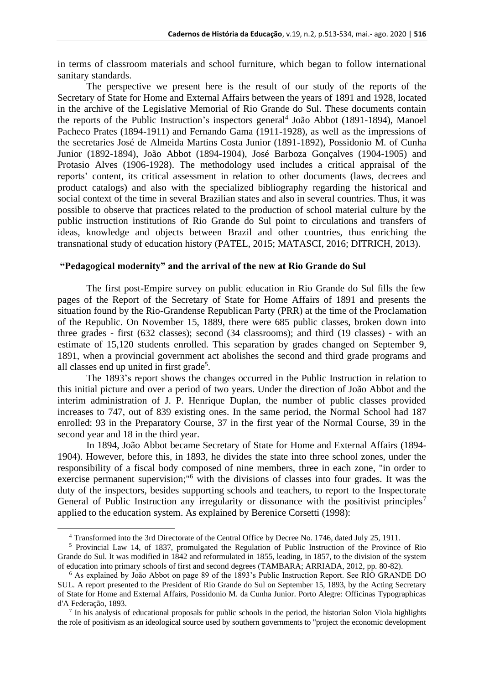in terms of classroom materials and school furniture, which began to follow international sanitary standards.

The perspective we present here is the result of our study of the reports of the Secretary of State for Home and External Affairs between the years of 1891 and 1928, located in the archive of the Legislative Memorial of Rio Grande do Sul. These documents contain the reports of the Public Instruction's inspectors general<sup>4</sup> João Abbot (1891-1894), Manoel Pacheco Prates (1894-1911) and Fernando Gama (1911-1928), as well as the impressions of the secretaries José de Almeida Martins Costa Junior (1891-1892), Possidonio M. of Cunha Junior (1892-1894), João Abbot (1894-1904), José Barboza Gonçalves (1904-1905) and Protasio Alves (1906-1928). The methodology used includes a critical appraisal of the reports' content, its critical assessment in relation to other documents (laws, decrees and product catalogs) and also with the specialized bibliography regarding the historical and social context of the time in several Brazilian states and also in several countries. Thus, it was possible to observe that practices related to the production of school material culture by the public instruction institutions of Rio Grande do Sul point to circulations and transfers of ideas, knowledge and objects between Brazil and other countries, thus enriching the transnational study of education history (PATEL, 2015; MATASCI, 2016; DITRICH, 2013).

## **"Pedagogical modernity" and the arrival of the new at Rio Grande do Sul**

The first post-Empire survey on public education in Rio Grande do Sul fills the few pages of the Report of the Secretary of State for Home Affairs of 1891 and presents the situation found by the Rio-Grandense Republican Party (PRR) at the time of the Proclamation of the Republic. On November 15, 1889, there were 685 public classes, broken down into three grades - first (632 classes); second (34 classrooms); and third (19 classes) - with an estimate of 15,120 students enrolled. This separation by grades changed on September 9, 1891, when a provincial government act abolishes the second and third grade programs and all classes end up united in first grade<sup>5</sup>.

The 1893's report shows the changes occurred in the Public Instruction in relation to this initial picture and over a period of two years. Under the direction of João Abbot and the interim administration of J. P. Henrique Duplan, the number of public classes provided increases to 747, out of 839 existing ones. In the same period, the Normal School had 187 enrolled: 93 in the Preparatory Course, 37 in the first year of the Normal Course, 39 in the second year and 18 in the third year.

In 1894, João Abbot became Secretary of State for Home and External Affairs (1894- 1904). However, before this, in 1893, he divides the state into three school zones, under the responsibility of a fiscal body composed of nine members, three in each zone, "in order to exercise permanent supervision;<sup>16</sup> with the divisions of classes into four grades. It was the duty of the inspectors, besides supporting schools and teachers, to report to the Inspectorate General of Public Instruction any irregularity or dissonance with the positivist principles<sup>7</sup> applied to the education system. As explained by Berenice Corsetti (1998):

<sup>4</sup> Transformed into the 3rd Directorate of the Central Office by Decree No. 1746, dated July 25, 1911.

<sup>5</sup> Provincial Law 14, of 1837, promulgated the Regulation of Public Instruction of the Province of Rio Grande do Sul. It was modified in 1842 and reformulated in 1855, leading, in 1857, to the division of the system of education into primary schools of first and second degrees (TAMBARA; ARRIADA, 2012, pp. 80-82).

<sup>6</sup> As explained by João Abbot on page 89 of the 1893's Public Instruction Report. See RIO GRANDE DO SUL. A report presented to the President of Rio Grande do Sul on September 15, 1893, by the Acting Secretary of State for Home and External Affairs, Possidonio M. da Cunha Junior. Porto Alegre: Officinas Typographicas d'A Federação, 1893.

<sup>&</sup>lt;sup>7</sup> In his analysis of educational proposals for public schools in the period, the historian Solon Viola highlights the role of positivism as an ideological source used by southern governments to "project the economic development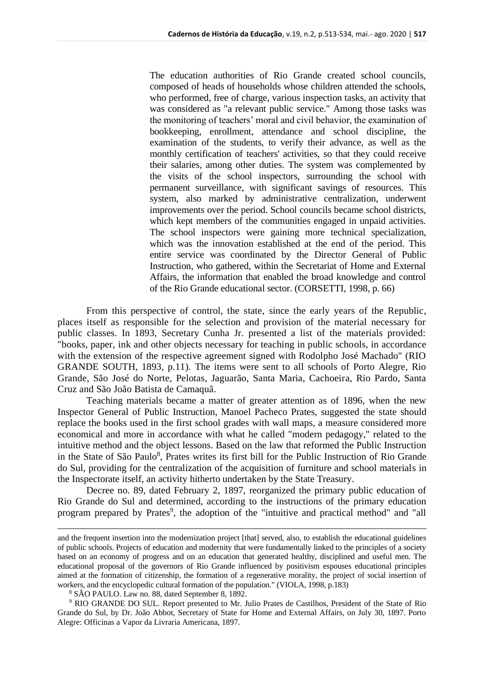The education authorities of Rio Grande created school councils, composed of heads of households whose children attended the schools, who performed, free of charge, various inspection tasks, an activity that was considered as "a relevant public service." Among those tasks was the monitoring of teachers' moral and civil behavior, the examination of bookkeeping, enrollment, attendance and school discipline, the examination of the students, to verify their advance, as well as the monthly certification of teachers' activities, so that they could receive their salaries, among other duties. The system was complemented by the visits of the school inspectors, surrounding the school with permanent surveillance, with significant savings of resources. This system, also marked by administrative centralization, underwent improvements over the period. School councils became school districts, which kept members of the communities engaged in unpaid activities. The school inspectors were gaining more technical specialization, which was the innovation established at the end of the period. This entire service was coordinated by the Director General of Public Instruction, who gathered, within the Secretariat of Home and External Affairs, the information that enabled the broad knowledge and control of the Rio Grande educational sector. (CORSETTI, 1998, p. 66)

From this perspective of control, the state, since the early years of the Republic, places itself as responsible for the selection and provision of the material necessary for public classes. In 1893, Secretary Cunha Jr. presented a list of the materials provided: "books, paper, ink and other objects necessary for teaching in public schools, in accordance with the extension of the respective agreement signed with Rodolpho José Machado" (RIO GRANDE SOUTH, 1893, p.11). The items were sent to all schools of Porto Alegre, Rio Grande, São José do Norte, Pelotas, Jaguarão, Santa Maria, Cachoeira, Rio Pardo, Santa Cruz and São João Batista de Camaquã.

Teaching materials became a matter of greater attention as of 1896, when the new Inspector General of Public Instruction, Manoel Pacheco Prates, suggested the state should replace the books used in the first school grades with wall maps, a measure considered more economical and more in accordance with what he called "modern pedagogy," related to the intuitive method and the object lessons. Based on the law that reformed the Public Instruction in the State of São Paulo<sup>8</sup>, Prates writes its first bill for the Public Instruction of Rio Grande do Sul, providing for the centralization of the acquisition of furniture and school materials in the Inspectorate itself, an activity hitherto undertaken by the State Treasury.

Decree no. 89, dated February 2, 1897, reorganized the primary public education of Rio Grande do Sul and determined, according to the instructions of the primary education program prepared by Prates<sup>9</sup>, the adoption of the "intuitive and practical method" and "all

and the frequent insertion into the modernization project [that] served, also, to establish the educational guidelines of public schools. Projects of education and modernity that were fundamentally linked to the principles of a society based on an economy of progress and on an education that generated healthy, disciplined and useful men. The educational proposal of the governors of Rio Grande influenced by positivism espouses educational principles aimed at the formation of citizenship, the formation of a regenerative morality, the project of social insertion of workers, and the encyclopedic cultural formation of the population." (VIOLA, 1998, p.183)

<sup>8</sup> SÃO PAULO. Law no. 88, dated September 8, 1892.

<sup>9</sup> RIO GRANDE DO SUL. Report presented to Mr. Julio Prates de Castilhos, President of the State of Rio Grande do Sul, by Dr. João Abbot, Secretary of State for Home and External Affairs, on July 30, 1897. Porto Alegre: Officinas a Vapor da Livraria Americana, 1897.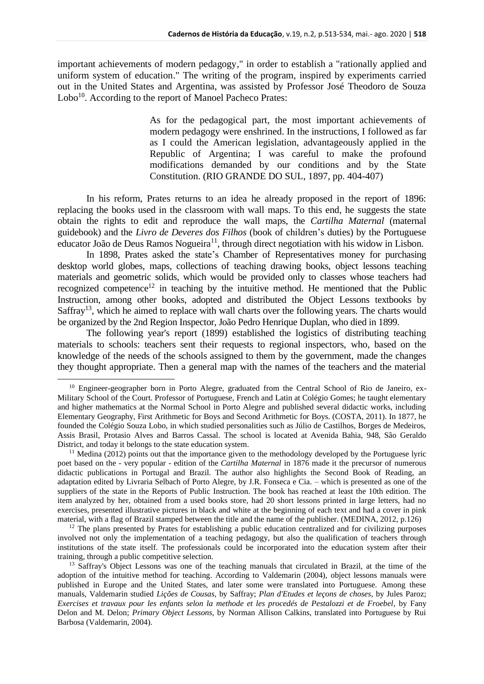important achievements of modern pedagogy," in order to establish a "rationally applied and uniform system of education." The writing of the program, inspired by experiments carried out in the United States and Argentina, was assisted by Professor José Theodoro de Souza Lobo<sup>10</sup>. According to the report of Manoel Pacheco Prates:

> As for the pedagogical part, the most important achievements of modern pedagogy were enshrined. In the instructions, I followed as far as I could the American legislation, advantageously applied in the Republic of Argentina; I was careful to make the profound modifications demanded by our conditions and by the State Constitution. (RIO GRANDE DO SUL, 1897, pp. 404-407)

In his reform, Prates returns to an idea he already proposed in the report of 1896: replacing the books used in the classroom with wall maps. To this end, he suggests the state obtain the rights to edit and reproduce the wall maps, the *Cartilha Maternal* (maternal guidebook) and the *Livro de Deveres dos Filhos* (book of children's duties) by the Portuguese educator João de Deus Ramos Nogueira<sup>11</sup>, through direct negotiation with his widow in Lisbon.

In 1898, Prates asked the state's Chamber of Representatives money for purchasing desktop world globes, maps, collections of teaching drawing books, object lessons teaching materials and geometric solids, which would be provided only to classes whose teachers had recognized competence<sup>12</sup> in teaching by the intuitive method. He mentioned that the Public Instruction, among other books, adopted and distributed the Object Lessons textbooks by  $Saffray<sup>13</sup>$ , which he aimed to replace with wall charts over the following years. The charts would be organized by the 2nd Region Inspector, João Pedro Henrique Duplan, who died in 1899.

The following year's report (1899) established the logistics of distributing teaching materials to schools: teachers sent their requests to regional inspectors, who, based on the knowledge of the needs of the schools assigned to them by the government, made the changes they thought appropriate. Then a general map with the names of the teachers and the material

<sup>&</sup>lt;sup>10</sup> Engineer-geographer born in Porto Alegre, graduated from the Central School of Rio de Janeiro, ex-Military School of the Court. Professor of Portuguese, French and Latin at Colégio Gomes; he taught elementary and higher mathematics at the Normal School in Porto Alegre and published several didactic works, including Elementary Geography, First Arithmetic for Boys and Second Arithmetic for Boys. (COSTA, 2011). In 1877, he founded the Colégio Souza Lobo, in which studied personalities such as Júlio de Castilhos, Borges de Medeiros, Assis Brasil, Protasio Alves and Barros Cassal. The school is located at Avenida Bahia, 948, São Geraldo District, and today it belongs to the state education system.

 $11$  Medina (2012) points out that the importance given to the methodology developed by the Portuguese lyric poet based on the - very popular - edition of the *Cartilha Maternal* in 1876 made it the precursor of numerous didactic publications in Portugal and Brazil. The author also highlights the Second Book of Reading, an adaptation edited by Livraria Selbach of Porto Alegre, by J.R. Fonseca e Cia. – which is presented as one of the suppliers of the state in the Reports of Public Instruction. The book has reached at least the 10th edition. The item analyzed by her, obtained from a used books store, had 20 short lessons printed in large letters, had no exercises, presented illustrative pictures in black and white at the beginning of each text and had a cover in pink material, with a flag of Brazil stamped between the title and the name of the publisher. (MEDINA, 2012, p.126)

 $12$  The plans presented by Prates for establishing a public education centralized and for civilizing purposes involved not only the implementation of a teaching pedagogy, but also the qualification of teachers through institutions of the state itself. The professionals could be incorporated into the education system after their training, through a public competitive selection.

<sup>&</sup>lt;sup>13</sup> Saffray's Object Lessons was one of the teaching manuals that circulated in Brazil, at the time of the adoption of the intuitive method for teaching. According to Valdemarin (2004), object lessons manuals were published in Europe and the United States, and later some were translated into Portuguese. Among these manuals, Valdemarin studied *Lições de Cousas*, by Saffray; *Plan d'Etudes et leçons de choses*, by Jules Paroz; *Exercises et travaux pour les enfants selon la methode et les procedés de Pestalozzi et de Froebel*, by Fany Delon and M. Delon; *Primary Object Lessons*, by Norman Allison Calkins, translated into Portuguese by Rui Barbosa (Valdemarin, 2004).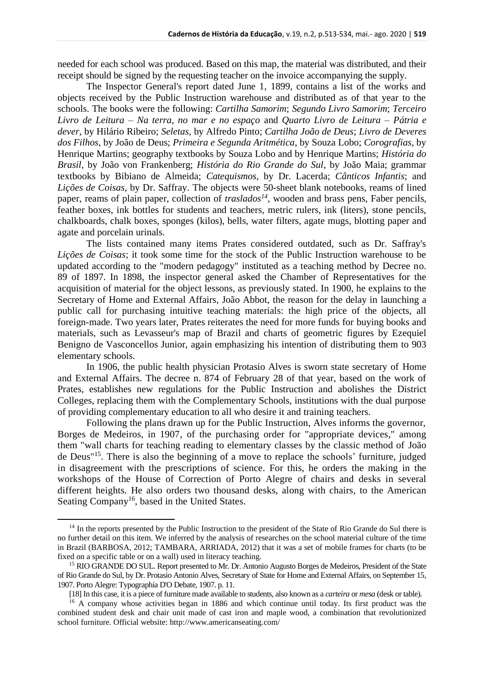needed for each school was produced. Based on this map, the material was distributed, and their receipt should be signed by the requesting teacher on the invoice accompanying the supply.

The Inspector General's report dated June 1, 1899, contains a list of the works and objects received by the Public Instruction warehouse and distributed as of that year to the schools. The books were the following: *Cartilha Samorim*; *Segundo Livro Samorim*; *Terceiro Livro de Leitura – Na terra, no mar e no espaço* and *Quarto Livro de Leitura – Pátria e dever*, by Hilário Ribeiro; *Seletas*, by Alfredo Pinto; *Cartilha João de Deus*; *Livro de Deveres dos Filhos*, by João de Deus; *Primeira e Segunda Aritmética*, by Souza Lobo; *Corografias*, by Henrique Martins; geography textbooks by Souza Lobo and by Henrique Martins; *História do Brasil*, by João von Frankenberg; *História do Rio Grande do Sul*, by João Maia; grammar textbooks by Bibiano de Almeida; *Catequismos*, by Dr. Lacerda; *Cânticos Infantis*; and *Lições de Coisas*, by Dr. Saffray. The objects were 50-sheet blank notebooks, reams of lined paper, reams of plain paper, collection of *traslados<sup>14</sup>*, wooden and brass pens, Faber pencils, feather boxes, ink bottles for students and teachers, metric rulers, ink (liters), stone pencils, chalkboards, chalk boxes, sponges (kilos), bells, water filters, agate mugs, blotting paper and agate and porcelain urinals.

The lists contained many items Prates considered outdated, such as Dr. Saffray's *Lições de Coisas*; it took some time for the stock of the Public Instruction warehouse to be updated according to the "modern pedagogy" instituted as a teaching method by Decree no. 89 of 1897. In 1898, the inspector general asked the Chamber of Representatives for the acquisition of material for the object lessons, as previously stated. In 1900, he explains to the Secretary of Home and External Affairs, João Abbot, the reason for the delay in launching a public call for purchasing intuitive teaching materials: the high price of the objects, all foreign-made. Two years later, Prates reiterates the need for more funds for buying books and materials, such as Levasseur's map of Brazil and charts of geometric figures by Ezequiel Benigno de Vasconcellos Junior, again emphasizing his intention of distributing them to 903 elementary schools.

In 1906, the public health physician Protasio Alves is sworn state secretary of Home and External Affairs. The decree n. 874 of February 28 of that year, based on the work of Prates, establishes new regulations for the Public Instruction and abolishes the District Colleges, replacing them with the Complementary Schools, institutions with the dual purpose of providing complementary education to all who desire it and training teachers.

Following the plans drawn up for the Public Instruction, Alves informs the governor, Borges de Medeiros, in 1907, of the purchasing order for "appropriate devices," among them "wall charts for teaching reading to elementary classes by the classic method of João de Deus" <sup>15</sup>. There is also the beginning of a move to replace the schools' furniture, judged in disagreement with the prescriptions of science. For this, he orders the making in the workshops of the House of Correction of Porto Alegre of chairs and desks in several different heights. He also orders two thousand desks, along with chairs, to the American Seating Company<sup>16</sup>, based in the United States.

<sup>&</sup>lt;sup>14</sup> In the reports presented by the Public Instruction to the president of the State of Rio Grande do Sul there is no further detail on this item. We inferred by the analysis of researches on the school material culture of the time in Brazil (BARBOSA, 2012; TAMBARA, ARRIADA, 2012) that it was a set of mobile frames for charts (to be fixed on a specific table or on a wall) used in literacy teaching.

<sup>15</sup> RIO GRANDE DO SUL. Report presented to Mr. Dr. Antonio Augusto Borges de Medeiros, President of the State of Rio Grande do Sul, by Dr. Protasio Antonio Alves, Secretary of State for Home and External Affairs, on September 15, 1907. Porto Alegre: Typographia D'O Debate, 1907. p. 11.

<sup>[18]</sup> In this case, it is a piece of furniture made available to students, also known as a *carteira* or *mesa* (desk or table).

<sup>&</sup>lt;sup>16</sup> A company whose activities began in 1886 and which continue until today. Its first product was the combined student desk and chair unit made of cast iron and maple wood, a combination that revolutionized school furniture. Official website: http://www.americanseating.com/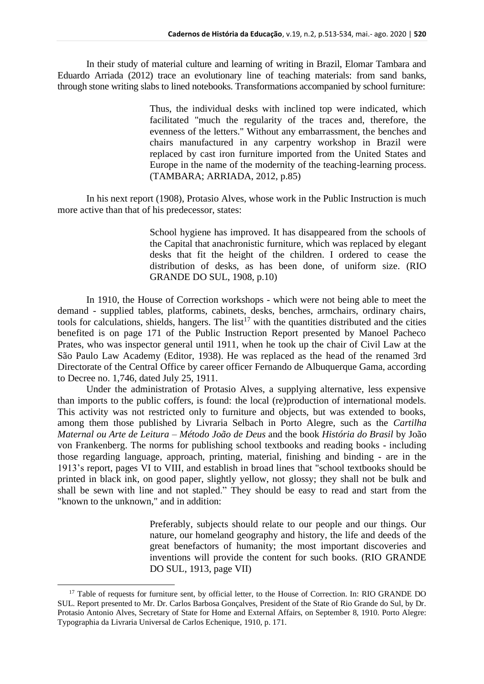In their study of material culture and learning of writing in Brazil, Elomar Tambara and Eduardo Arriada (2012) trace an evolutionary line of teaching materials: from sand banks, through stone writing slabs to lined notebooks. Transformations accompanied by school furniture:

> Thus, the individual desks with inclined top were indicated, which facilitated "much the regularity of the traces and, therefore, the evenness of the letters." Without any embarrassment, the benches and chairs manufactured in any carpentry workshop in Brazil were replaced by cast iron furniture imported from the United States and Europe in the name of the modernity of the teaching-learning process. (TAMBARA; ARRIADA, 2012, p.85)

In his next report (1908), Protasio Alves, whose work in the Public Instruction is much more active than that of his predecessor, states:

> School hygiene has improved. It has disappeared from the schools of the Capital that anachronistic furniture, which was replaced by elegant desks that fit the height of the children. I ordered to cease the distribution of desks, as has been done, of uniform size. (RIO GRANDE DO SUL, 1908, p.10)

In 1910, the House of Correction workshops - which were not being able to meet the demand - supplied tables, platforms, cabinets, desks, benches, armchairs, ordinary chairs, tools for calculations, shields, hangers. The list<sup>17</sup> with the quantities distributed and the cities benefited is on page 171 of the Public Instruction Report presented by Manoel Pacheco Prates, who was inspector general until 1911, when he took up the chair of Civil Law at the São Paulo Law Academy (Editor, 1938). He was replaced as the head of the renamed 3rd Directorate of the Central Office by career officer Fernando de Albuquerque Gama, according to Decree no. 1,746, dated July 25, 1911.

Under the administration of Protasio Alves, a supplying alternative, less expensive than imports to the public coffers, is found: the local (re)production of international models. This activity was not restricted only to furniture and objects, but was extended to books, among them those published by Livraria Selbach in Porto Alegre, such as the *Cartilha Maternal ou Arte de Leitura – Método João de Deus* and the book *História do Brasil* by João von Frankenberg. The norms for publishing school textbooks and reading books - including those regarding language, approach, printing, material, finishing and binding - are in the 1913's report, pages VI to VIII, and establish in broad lines that "school textbooks should be printed in black ink, on good paper, slightly yellow, not glossy; they shall not be bulk and shall be sewn with line and not stapled." They should be easy to read and start from the "known to the unknown," and in addition:

> Preferably, subjects should relate to our people and our things. Our nature, our homeland geography and history, the life and deeds of the great benefactors of humanity; the most important discoveries and inventions will provide the content for such books. (RIO GRANDE DO SUL, 1913, page VII)

<sup>&</sup>lt;sup>17</sup> Table of requests for furniture sent, by official letter, to the House of Correction. In: RIO GRANDE DO SUL. Report presented to Mr. Dr. Carlos Barbosa Gonçalves, President of the State of Rio Grande do Sul, by Dr. Protasio Antonio Alves, Secretary of State for Home and External Affairs, on September 8, 1910. Porto Alegre: Typographia da Livraria Universal de Carlos Echenique, 1910, p. 171.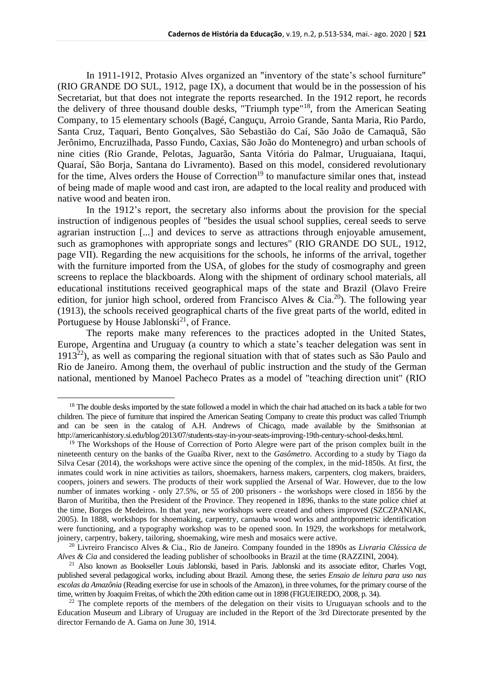In 1911-1912, Protasio Alves organized an "inventory of the state's school furniture" (RIO GRANDE DO SUL, 1912, page IX), a document that would be in the possession of his Secretariat, but that does not integrate the reports researched. In the 1912 report, he records the delivery of three thousand double desks, "Triumph type"<sup>18</sup>, from the American Seating Company, to 15 elementary schools (Bagé, Canguçu, Arroio Grande, Santa Maria, Rio Pardo, Santa Cruz, Taquari, Bento Gonçalves, São Sebastião do Caí, São João de Camaquã, São Jerônimo, Encruzilhada, Passo Fundo, Caxias, São João do Montenegro) and urban schools of nine cities (Rio Grande, Pelotas, Jaguarão, Santa Vitória do Palmar, Uruguaiana, Itaqui, Quaraí, São Borja, Santana do Livramento). Based on this model, considered revolutionary for the time, Alves orders the House of Correction<sup>19</sup> to manufacture similar ones that, instead of being made of maple wood and cast iron, are adapted to the local reality and produced with native wood and beaten iron.

In the 1912's report, the secretary also informs about the provision for the special instruction of indigenous peoples of "besides the usual school supplies, cereal seeds to serve agrarian instruction [...] and devices to serve as attractions through enjoyable amusement, such as gramophones with appropriate songs and lectures" (RIO GRANDE DO SUL, 1912, page VII). Regarding the new acquisitions for the schools, he informs of the arrival, together with the furniture imported from the USA, of globes for the study of cosmography and green screens to replace the blackboards. Along with the shipment of ordinary school materials, all educational institutions received geographical maps of the state and Brazil (Olavo Freire edition, for junior high school, ordered from Francisco Alves & Cia.<sup>20</sup>). The following year (1913), the schools received geographical charts of the five great parts of the world, edited in Portuguese by House Jablonski<sup>21</sup>, of France.

The reports make many references to the practices adopted in the United States, Europe, Argentina and Uruguay (a country to which a state's teacher delegation was sent in  $1913^{22}$ ), as well as comparing the regional situation with that of states such as São Paulo and Rio de Janeiro. Among them, the overhaul of public instruction and the study of the German national, mentioned by Manoel Pacheco Prates as a model of "teaching direction unit" (RIO

<sup>&</sup>lt;sup>18</sup> The double desks imported by the state followed a model in which the chair had attached on its back a table for two children. The piece of furniture that inspired the American Seating Company to create this product was called Triumph and can be seen in the catalog of A.H. Andrews of Chicago, made available by the Smithsonian at http://americanhistory.si.edu/blog/2013/07/students-stay-in-your-seats-improving-19th-century-school-desks.html.

<sup>&</sup>lt;sup>19</sup> The Workshops of the House of Correction of Porto Alegre were part of the prison complex built in the nineteenth century on the banks of the Guaíba River, next to the *Gasômetro*. According to a study by Tiago da Silva Cesar (2014), the workshops were active since the opening of the complex, in the mid-1850s. At first, the inmates could work in nine activities as tailors, shoemakers, harness makers, carpenters, clog makers, braiders, coopers, joiners and sewers. The products of their work supplied the Arsenal of War. However, due to the low number of inmates working - only 27.5%, or 55 of 200 prisoners - the workshops were closed in 1856 by the Baron of Muritiba, then the President of the Province. They reopened in 1896, thanks to the state police chief at the time, Borges de Medeiros. In that year, new workshops were created and others improved (SZCZPANIAK, 2005). In 1888, workshops for shoemaking, carpentry, carnauba wood works and anthropometric identification were functioning, and a typography workshop was to be opened soon. In 1929, the workshops for metalwork, joinery, carpentry, bakery, tailoring, shoemaking, wire mesh and mosaics were active.

<sup>20</sup> Livreiro Francisco Alves & Cia., Rio de Janeiro. Company founded in the 1890s as *Livraria Clássica de Alves & Cia* and considered the leading publisher of schoolbooks in Brazil at the time (RAZZINI, 2004).

<sup>21</sup> Also known as Bookseller Louis Jablonski, based in Paris. Jablonski and its associate editor, Charles Vogt, published several pedagogical works, including about Brazil. Among these, the series *Ensaio de leitura para uso nas escolas da Amazônia* (Reading exercise for use in schools of the Amazon), in three volumes, for the primary course of the time, written by Joaquim Freitas, of which the 20th edition came out in 1898 (FIGUEIREDO, 2008, p. 34).

 $22$  The complete reports of the members of the delegation on their visits to Uruguayan schools and to the Education Museum and Library of Uruguay are included in the Report of the 3rd Directorate presented by the director Fernando de A. Gama on June 30, 1914.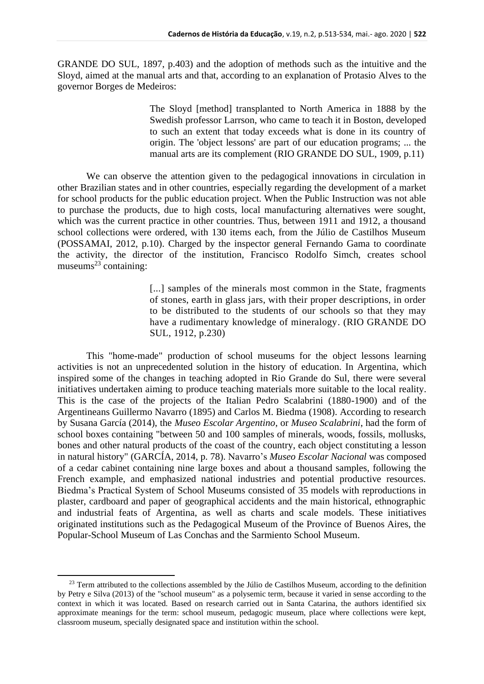GRANDE DO SUL, 1897, p.403) and the adoption of methods such as the intuitive and the Sloyd, aimed at the manual arts and that, according to an explanation of Protasio Alves to the governor Borges de Medeiros:

> The Sloyd [method] transplanted to North America in 1888 by the Swedish professor Larrson, who came to teach it in Boston, developed to such an extent that today exceeds what is done in its country of origin. The 'object lessons' are part of our education programs; ... the manual arts are its complement (RIO GRANDE DO SUL, 1909, p.11)

We can observe the attention given to the pedagogical innovations in circulation in other Brazilian states and in other countries, especially regarding the development of a market for school products for the public education project. When the Public Instruction was not able to purchase the products, due to high costs, local manufacturing alternatives were sought, which was the current practice in other countries. Thus, between 1911 and 1912, a thousand school collections were ordered, with 130 items each, from the Júlio de Castilhos Museum (POSSAMAI, 2012, p.10). Charged by the inspector general Fernando Gama to coordinate the activity, the director of the institution, Francisco Rodolfo Simch, creates school museums $^{23}$  containing:

> [...] samples of the minerals most common in the State, fragments of stones, earth in glass jars, with their proper descriptions, in order to be distributed to the students of our schools so that they may have a rudimentary knowledge of mineralogy. (RIO GRANDE DO SUL, 1912, p.230)

This "home-made" production of school museums for the object lessons learning activities is not an unprecedented solution in the history of education. In Argentina, which inspired some of the changes in teaching adopted in Rio Grande do Sul, there were several initiatives undertaken aiming to produce teaching materials more suitable to the local reality. This is the case of the projects of the Italian Pedro Scalabrini (1880-1900) and of the Argentineans Guillermo Navarro (1895) and Carlos M. Biedma (1908). According to research by Susana García (2014), the *Museo Escolar Argentino*, or *Museo Scalabrini*, had the form of school boxes containing "between 50 and 100 samples of minerals, woods, fossils, mollusks, bones and other natural products of the coast of the country, each object constituting a lesson in natural history" (GARCÍA, 2014, p. 78). Navarro's *Museo Escolar Nacional* was composed of a cedar cabinet containing nine large boxes and about a thousand samples, following the French example, and emphasized national industries and potential productive resources. Biedma's Practical System of School Museums consisted of 35 models with reproductions in plaster, cardboard and paper of geographical accidents and the main historical, ethnographic and industrial feats of Argentina, as well as charts and scale models. These initiatives originated institutions such as the Pedagogical Museum of the Province of Buenos Aires, the Popular-School Museum of Las Conchas and the Sarmiento School Museum.

<sup>&</sup>lt;sup>23</sup> Term attributed to the collections assembled by the Júlio de Castilhos Museum, according to the definition by Petry e Silva (2013) of the "school museum" as a polysemic term, because it varied in sense according to the context in which it was located. Based on research carried out in Santa Catarina, the authors identified six approximate meanings for the term: school museum, pedagogic museum, place where collections were kept, classroom museum, specially designated space and institution within the school.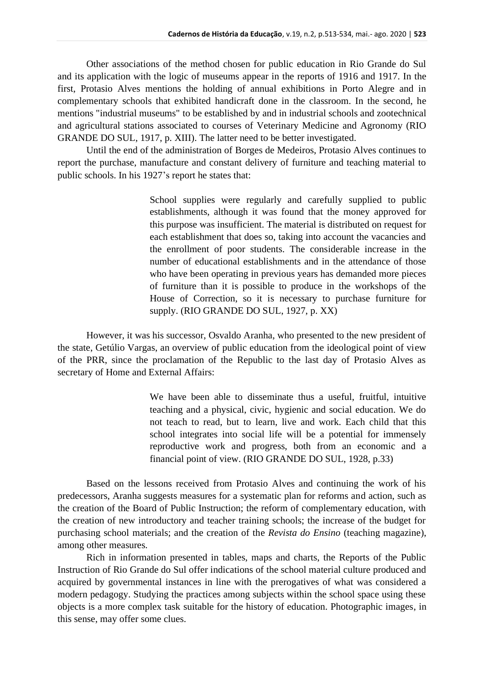Other associations of the method chosen for public education in Rio Grande do Sul and its application with the logic of museums appear in the reports of 1916 and 1917. In the first, Protasio Alves mentions the holding of annual exhibitions in Porto Alegre and in complementary schools that exhibited handicraft done in the classroom. In the second, he mentions "industrial museums" to be established by and in industrial schools and zootechnical and agricultural stations associated to courses of Veterinary Medicine and Agronomy (RIO GRANDE DO SUL, 1917, p. XIII). The latter need to be better investigated.

Until the end of the administration of Borges de Medeiros, Protasio Alves continues to report the purchase, manufacture and constant delivery of furniture and teaching material to public schools. In his 1927's report he states that:

> School supplies were regularly and carefully supplied to public establishments, although it was found that the money approved for this purpose was insufficient. The material is distributed on request for each establishment that does so, taking into account the vacancies and the enrollment of poor students. The considerable increase in the number of educational establishments and in the attendance of those who have been operating in previous years has demanded more pieces of furniture than it is possible to produce in the workshops of the House of Correction, so it is necessary to purchase furniture for supply. (RIO GRANDE DO SUL, 1927, p. XX)

However, it was his successor, Osvaldo Aranha, who presented to the new president of the state, Getúlio Vargas, an overview of public education from the ideological point of view of the PRR, since the proclamation of the Republic to the last day of Protasio Alves as secretary of Home and External Affairs:

> We have been able to disseminate thus a useful, fruitful, intuitive teaching and a physical, civic, hygienic and social education. We do not teach to read, but to learn, live and work. Each child that this school integrates into social life will be a potential for immensely reproductive work and progress, both from an economic and a financial point of view. (RIO GRANDE DO SUL, 1928, p.33)

Based on the lessons received from Protasio Alves and continuing the work of his predecessors, Aranha suggests measures for a systematic plan for reforms and action, such as the creation of the Board of Public Instruction; the reform of complementary education, with the creation of new introductory and teacher training schools; the increase of the budget for purchasing school materials; and the creation of the *Revista do Ensino* (teaching magazine), among other measures.

Rich in information presented in tables, maps and charts, the Reports of the Public Instruction of Rio Grande do Sul offer indications of the school material culture produced and acquired by governmental instances in line with the prerogatives of what was considered a modern pedagogy. Studying the practices among subjects within the school space using these objects is a more complex task suitable for the history of education. Photographic images, in this sense, may offer some clues.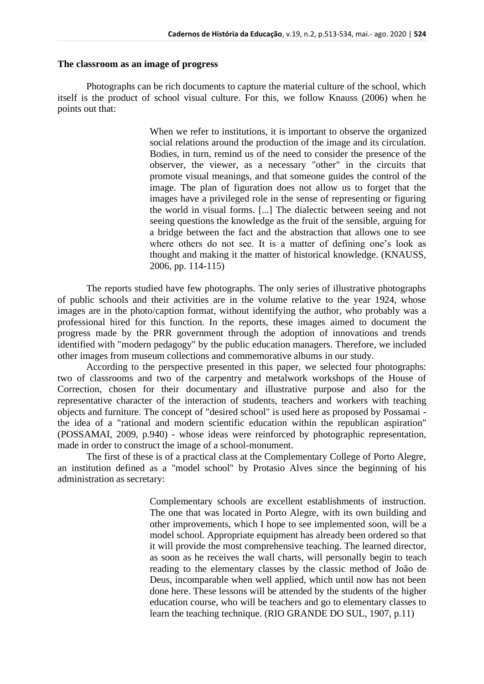### **The classroom as an image of progress**

Photographs can be rich documents to capture the material culture of the school, which itself is the product of school visual culture. For this, we follow Knauss (2006) when he points out that:

> When we refer to institutions, it is important to observe the organized social relations around the production of the image and its circulation. Bodies, in turn, remind us of the need to consider the presence of the observer, the viewer, as a necessary "other" in the circuits that promote visual meanings, and that someone guides the control of the image. The plan of figuration does not allow us to forget that the images have a privileged role in the sense of representing or figuring the world in visual forms. [...] The dialectic between seeing and not seeing questions the knowledge as the fruit of the sensible, arguing for a bridge between the fact and the abstraction that allows one to see where others do not see. It is a matter of defining one's look as thought and making it the matter of historical knowledge. (KNAUSS, 2006, pp. 114-115)

The reports studied have few photographs. The only series of illustrative photographs of public schools and their activities are in the volume relative to the year 1924, whose images are in the photo/caption format, without identifying the author, who probably was a professional hired for this function. In the reports, these images aimed to document the progress made by the PRR government through the adoption of innovations and trends identified with "modern pedagogy" by the public education managers. Therefore, we included other images from museum collections and commemorative albums in our study.

According to the perspective presented in this paper, we selected four photographs: two of classrooms and two of the carpentry and metalwork workshops of the House of Correction, chosen for their documentary and illustrative purpose and also for the representative character of the interaction of students, teachers and workers with teaching objects and furniture. The concept of "desired school" is used here as proposed by Possamai the idea of a "rational and modern scientific education within the republican aspiration" (POSSAMAI, 2009, p.940) - whose ideas were reinforced by photographic representation, made in order to construct the image of a school-monument.

The first of these is of a practical class at the Complementary College of Porto Alegre, an institution defined as a "model school" by Protasio Alves since the beginning of his administration as secretary:

> Complementary schools are excellent establishments of instruction. The one that was located in Porto Alegre, with its own building and other improvements, which I hope to see implemented soon, will be a model school. Appropriate equipment has already been ordered so that it will provide the most comprehensive teaching. The learned director, as soon as he receives the wall charts, will personally begin to teach reading to the elementary classes by the classic method of João de Deus, incomparable when well applied, which until now has not been done here. These lessons will be attended by the students of the higher education course, who will be teachers and go to elementary classes to learn the teaching technique. (RIO GRANDE DO SUL, 1907, p.11)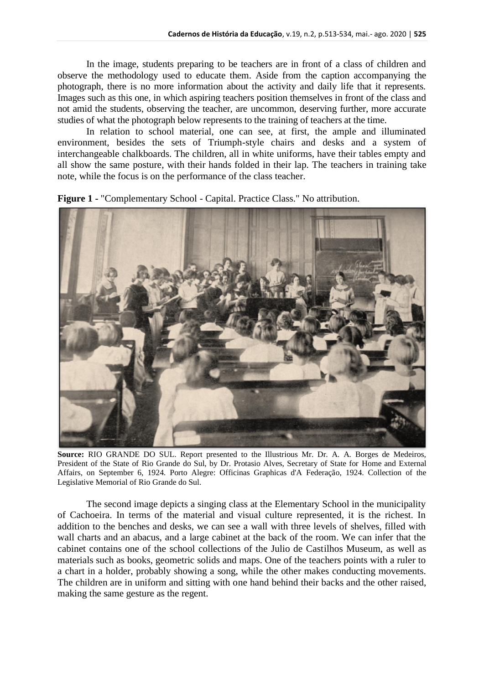In the image, students preparing to be teachers are in front of a class of children and observe the methodology used to educate them. Aside from the caption accompanying the photograph, there is no more information about the activity and daily life that it represents. Images such as this one, in which aspiring teachers position themselves in front of the class and not amid the students, observing the teacher, are uncommon, deserving further, more accurate studies of what the photograph below represents to the training of teachers at the time.

In relation to school material, one can see, at first, the ample and illuminated environment, besides the sets of Triumph-style chairs and desks and a system of interchangeable chalkboards. The children, all in white uniforms, have their tables empty and all show the same posture, with their hands folded in their lap. The teachers in training take note, while the focus is on the performance of the class teacher.



**Figure 1 -** "Complementary School - Capital. Practice Class." No attribution.

**Source:** RIO GRANDE DO SUL. Report presented to the Illustrious Mr. Dr. A. A. Borges de Medeiros, President of the State of Rio Grande do Sul, by Dr. Protasio Alves, Secretary of State for Home and External Affairs, on September 6, 1924. Porto Alegre: Officinas Graphicas d'A Federação, 1924. Collection of the Legislative Memorial of Rio Grande do Sul.

The second image depicts a singing class at the Elementary School in the municipality of Cachoeira. In terms of the material and visual culture represented, it is the richest. In addition to the benches and desks, we can see a wall with three levels of shelves, filled with wall charts and an abacus, and a large cabinet at the back of the room. We can infer that the cabinet contains one of the school collections of the Julio de Castilhos Museum, as well as materials such as books, geometric solids and maps. One of the teachers points with a ruler to a chart in a holder, probably showing a song, while the other makes conducting movements. The children are in uniform and sitting with one hand behind their backs and the other raised, making the same gesture as the regent.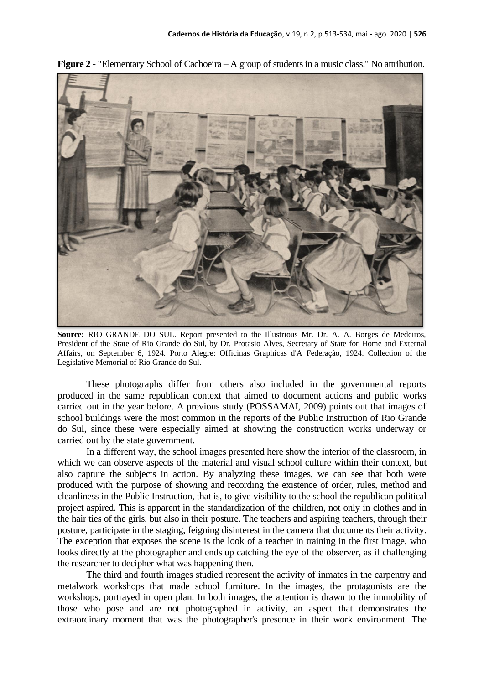

**Figure 2 -** "Elementary School of Cachoeira – A group of students in a music class." No attribution.

**Source:** RIO GRANDE DO SUL. Report presented to the Illustrious Mr. Dr. A. A. Borges de Medeiros, President of the State of Rio Grande do Sul, by Dr. Protasio Alves, Secretary of State for Home and External Affairs, on September 6, 1924. Porto Alegre: Officinas Graphicas d'A Federação, 1924. Collection of the Legislative Memorial of Rio Grande do Sul.

These photographs differ from others also included in the governmental reports produced in the same republican context that aimed to document actions and public works carried out in the year before. A previous study (POSSAMAI, 2009) points out that images of school buildings were the most common in the reports of the Public Instruction of Rio Grande do Sul, since these were especially aimed at showing the construction works underway or carried out by the state government.

In a different way, the school images presented here show the interior of the classroom, in which we can observe aspects of the material and visual school culture within their context, but also capture the subjects in action. By analyzing these images, we can see that both were produced with the purpose of showing and recording the existence of order, rules, method and cleanliness in the Public Instruction, that is, to give visibility to the school the republican political project aspired. This is apparent in the standardization of the children, not only in clothes and in the hair ties of the girls, but also in their posture. The teachers and aspiring teachers, through their posture, participate in the staging, feigning disinterest in the camera that documents their activity. The exception that exposes the scene is the look of a teacher in training in the first image, who looks directly at the photographer and ends up catching the eye of the observer, as if challenging the researcher to decipher what was happening then.

The third and fourth images studied represent the activity of inmates in the carpentry and metalwork workshops that made school furniture. In the images, the protagonists are the workshops, portrayed in open plan. In both images, the attention is drawn to the immobility of those who pose and are not photographed in activity, an aspect that demonstrates the extraordinary moment that was the photographer's presence in their work environment. The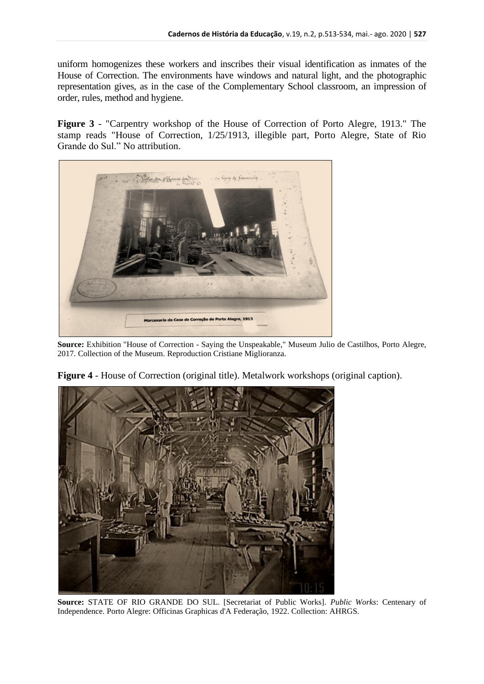uniform homogenizes these workers and inscribes their visual identification as inmates of the House of Correction. The environments have windows and natural light, and the photographic representation gives, as in the case of the Complementary School classroom, an impression of order, rules, method and hygiene.

**Figure 3** - "Carpentry workshop of the House of Correction of Porto Alegre, 1913." The stamp reads "House of Correction, 1/25/1913, illegible part, Porto Alegre, State of Rio Grande do Sul." No attribution.



**Source:** Exhibition "House of Correction - Saying the Unspeakable," Museum Julio de Castilhos, Porto Alegre, 2017. Collection of the Museum. Reproduction Cristiane Miglioranza.



**Figure 4** - House of Correction (original title). Metalwork workshops (original caption).

**Source:** STATE OF RIO GRANDE DO SUL. [Secretariat of Public Works]. *Public Works*: Centenary of Independence. Porto Alegre: Officinas Graphicas d'A Federação, 1922. Collection: AHRGS.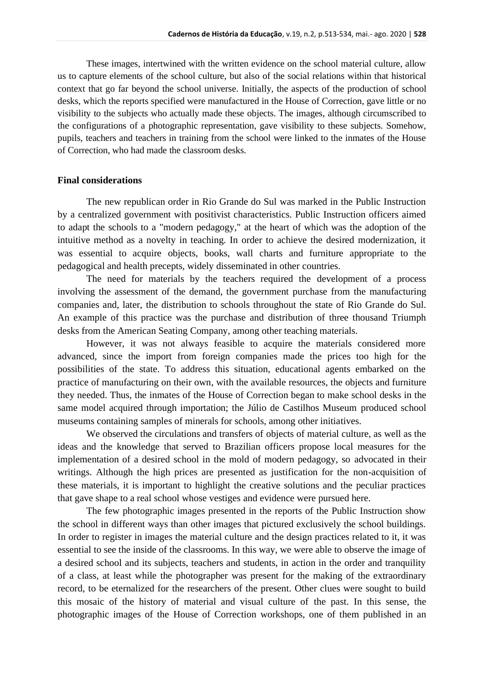These images, intertwined with the written evidence on the school material culture, allow us to capture elements of the school culture, but also of the social relations within that historical context that go far beyond the school universe. Initially, the aspects of the production of school desks, which the reports specified were manufactured in the House of Correction, gave little or no visibility to the subjects who actually made these objects. The images, although circumscribed to the configurations of a photographic representation, gave visibility to these subjects. Somehow, pupils, teachers and teachers in training from the school were linked to the inmates of the House of Correction, who had made the classroom desks.

#### **Final considerations**

The new republican order in Rio Grande do Sul was marked in the Public Instruction by a centralized government with positivist characteristics. Public Instruction officers aimed to adapt the schools to a "modern pedagogy," at the heart of which was the adoption of the intuitive method as a novelty in teaching. In order to achieve the desired modernization, it was essential to acquire objects, books, wall charts and furniture appropriate to the pedagogical and health precepts, widely disseminated in other countries.

The need for materials by the teachers required the development of a process involving the assessment of the demand, the government purchase from the manufacturing companies and, later, the distribution to schools throughout the state of Rio Grande do Sul. An example of this practice was the purchase and distribution of three thousand Triumph desks from the American Seating Company, among other teaching materials.

However, it was not always feasible to acquire the materials considered more advanced, since the import from foreign companies made the prices too high for the possibilities of the state. To address this situation, educational agents embarked on the practice of manufacturing on their own, with the available resources, the objects and furniture they needed. Thus, the inmates of the House of Correction began to make school desks in the same model acquired through importation; the Júlio de Castilhos Museum produced school museums containing samples of minerals for schools, among other initiatives.

We observed the circulations and transfers of objects of material culture, as well as the ideas and the knowledge that served to Brazilian officers propose local measures for the implementation of a desired school in the mold of modern pedagogy, so advocated in their writings. Although the high prices are presented as justification for the non-acquisition of these materials, it is important to highlight the creative solutions and the peculiar practices that gave shape to a real school whose vestiges and evidence were pursued here.

The few photographic images presented in the reports of the Public Instruction show the school in different ways than other images that pictured exclusively the school buildings. In order to register in images the material culture and the design practices related to it, it was essential to see the inside of the classrooms. In this way, we were able to observe the image of a desired school and its subjects, teachers and students, in action in the order and tranquility of a class, at least while the photographer was present for the making of the extraordinary record, to be eternalized for the researchers of the present. Other clues were sought to build this mosaic of the history of material and visual culture of the past. In this sense, the photographic images of the House of Correction workshops, one of them published in an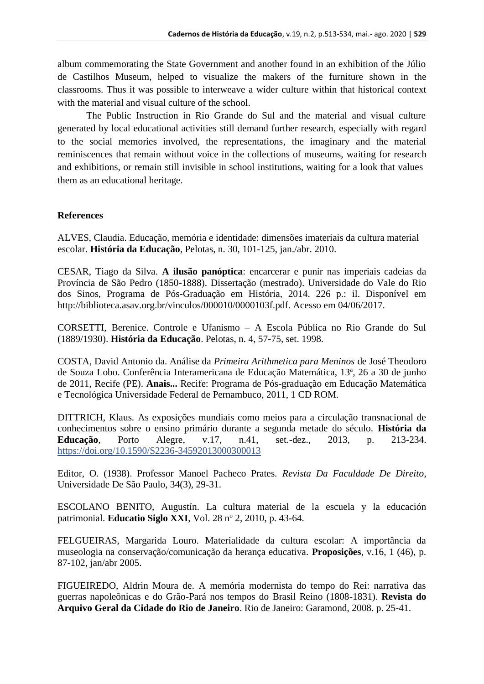album commemorating the State Government and another found in an exhibition of the Júlio de Castilhos Museum, helped to visualize the makers of the furniture shown in the classrooms. Thus it was possible to interweave a wider culture within that historical context with the material and visual culture of the school.

The Public Instruction in Rio Grande do Sul and the material and visual culture generated by local educational activities still demand further research, especially with regard to the social memories involved, the representations, the imaginary and the material reminiscences that remain without voice in the collections of museums, waiting for research and exhibitions, or remain still invisible in school institutions, waiting for a look that values them as an educational heritage.

## **References**

ALVES, Claudia. Educação, memória e identidade: dimensões imateriais da cultura material escolar. **História da Educação**, Pelotas, n. 30, 101-125, jan./abr. 2010.

CESAR, Tiago da Silva. **A ilusão panóptica**: encarcerar e punir nas imperiais cadeias da Província de São Pedro (1850-1888). Dissertação (mestrado). Universidade do Vale do Rio dos Sinos, Programa de Pós-Graduação em História, 2014. 226 p.: il. Disponível em http://biblioteca.asav.org.br/vinculos/000010/0000103f.pdf. Acesso em 04/06/2017.

CORSETTI, Berenice. Controle e Ufanismo – A Escola Pública no Rio Grande do Sul (1889/1930). **História da Educação**. Pelotas, n. 4, 57-75, set. 1998.

COSTA, David Antonio da. Análise da *Primeira Arithmetica para Meninos* de José Theodoro de Souza Lobo. Conferência Interamericana de Educação Matemática, 13ª, 26 a 30 de junho de 2011, Recife (PE). **Anais...** Recife: Programa de Pós-graduação em Educação Matemática e Tecnológica Universidade Federal de Pernambuco, 2011, 1 CD ROM.

DITTRICH, Klaus. As exposições mundiais como meios para a circulação transnacional de conhecimentos sobre o ensino primário durante a segunda metade do século. **História da Educação**, Porto Alegre, v.17, n.41, set.-dez., 2013, p. 213-234. <https://doi.org/10.1590/S2236-34592013000300013>

Editor, O. (1938). Professor Manoel Pacheco Prates. *Revista Da Faculdade De Direito*, Universidade De São Paulo, 34(3), 29-31.

ESCOLANO BENITO, Augustín. La cultura material de la escuela y la educación patrimonial. **Educatio Siglo XXI**, Vol. 28 nº 2, 2010, p. 43-64.

FELGUEIRAS, Margarida Louro. Materialidade da cultura escolar: A importância da museologia na conservação/comunicação da herança educativa. **Proposições**, v.16, 1 (46), p. 87-102, jan/abr 2005.

FIGUEIREDO, Aldrin Moura de. A memória modernista do tempo do Rei: narrativa das guerras napoleônicas e do Grão-Pará nos tempos do Brasil Reino (1808-1831). **Revista do Arquivo Geral da Cidade do Rio de Janeiro**. Rio de Janeiro: Garamond, 2008. p. 25-41.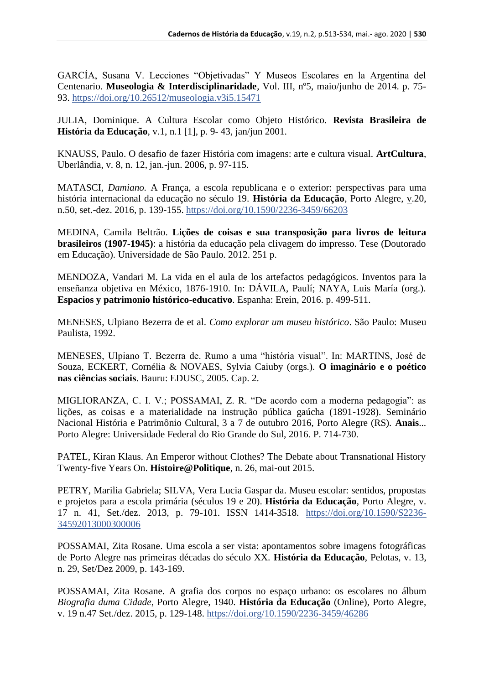GARCÍA, Susana V. Lecciones "Objetivadas" Y Museos Escolares en la Argentina del Centenario. **Museologia & Interdisciplinaridade**, Vol. III, nº5, maio/junho de 2014. p. 75- 93.<https://doi.org/10.26512/museologia.v3i5.15471>

JULIA, Dominique. A Cultura Escolar como Objeto Histórico. **Revista Brasileira de História da Educação**, v.1, n.1 [1], p. 9- 43, jan/jun 2001.

KNAUSS, Paulo. O desafio de fazer História com imagens: arte e cultura visual. **ArtCultura**, Uberlândia, v. 8, n. 12, jan.-jun. 2006, p. 97-115.

MATASCI*, Damiano.* A França, a escola republicana e o exterior: perspectivas para uma história internacional da educação no século 19. **História da Educação**, Porto Alegre, v.20, n.50, set.-dez. 2016, p. 139-155.<https://doi.org/10.1590/2236-3459/66203>

MEDINA, Camila Beltrão. **Lições de coisas e sua transposição para livros de leitura brasileiros (1907-1945)**: a história da educação pela clivagem do impresso. Tese (Doutorado em Educação). Universidade de São Paulo. 2012. 251 p.

MENDOZA, Vandari M. La vida en el aula de los artefactos pedagógicos. Inventos para la enseñanza objetiva en México, 1876-1910. In: DÁVILA, Paulí; NAYA, Luis María (org.). **Espacios y patrimonio histórico-educativo**. Espanha: Erein, 2016. p. 499-511.

MENESES, Ulpiano Bezerra de et al. *Como explorar um museu histórico*. São Paulo: Museu Paulista, 1992.

MENESES, Ulpiano T. Bezerra de. Rumo a uma "história visual". In: MARTINS, José de Souza, ECKERT, Cornélia & NOVAES, Sylvia Caiuby (orgs.). **O imaginário e o poético nas ciências sociais**. Bauru: EDUSC, 2005. Cap. 2.

MIGLIORANZA, C. I. V.; POSSAMAI, Z. R. "De acordo com a moderna pedagogia": as lições, as coisas e a materialidade na instrução pública gaúcha (1891-1928). Seminário Nacional História e Patrimônio Cultural, 3 a 7 de outubro 2016, Porto Alegre (RS). **Anais**... Porto Alegre: Universidade Federal do Rio Grande do Sul, 2016. P. 714-730.

PATEL, Kiran Klaus. An Emperor without Clothes? The Debate about Transnational History Twenty-five Years On. **Histoire@Politique**, n. 26, mai-out 2015.

PETRY, Marilia Gabriela; SILVA, Vera Lucia Gaspar da. Museu escolar: sentidos, propostas e projetos para a escola primária (séculos 19 e 20). **História da Educação**, Porto Alegre, v. 17 n. 41, Set./dez. 2013, p. 79-101. ISSN 1414-3518. [https://doi.org/10.1590/S2236-](https://doi.org/10.1590/S2236-34592013000300006) [34592013000300006](https://doi.org/10.1590/S2236-34592013000300006)

POSSAMAI, Zita Rosane. Uma escola a ser vista: apontamentos sobre imagens fotográficas de Porto Alegre nas primeiras décadas do século XX. **História da Educação**, Pelotas, v. 13, n. 29, Set/Dez 2009, p. 143-169.

POSSAMAI, Zita Rosane. A grafia dos corpos no espaço urbano: os escolares no álbum *Biografia duma Cidade*, Porto Alegre, 1940. **História da Educação** (Online), Porto Alegre, v. 19 n.47 Set./dez. 2015, p. 129-148.<https://doi.org/10.1590/2236-3459/46286>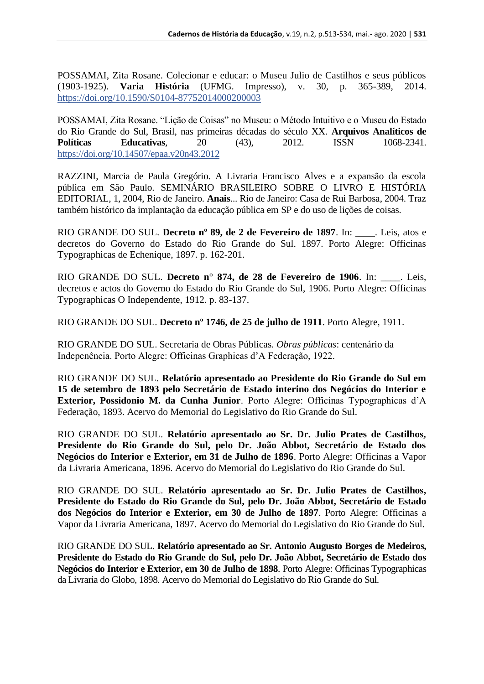POSSAMAI, Zita Rosane. Colecionar e educar: o Museu Julio de Castilhos e seus públicos (1903-1925). **Varia História** (UFMG. Impresso), v. 30, p. 365-389, 2014. <https://doi.org/10.1590/S0104-87752014000200003>

POSSAMAI, Zita Rosane. "Lição de Coisas" no Museu: o Método Intuitivo e o Museu do Estado do Rio Grande do Sul, Brasil, nas primeiras décadas do século XX. **Arquivos Analíticos de Políticas Educativas**, 20 (43), 2012. ISSN 1068-2341. <https://doi.org/10.14507/epaa.v20n43.2012>

RAZZINI, Marcia de Paula Gregório. A Livraria Francisco Alves e a expansão da escola pública em São Paulo. SEMINÁRIO BRASILEIRO SOBRE O LIVRO E HISTÓRIA EDITORIAL, 1, 2004, Rio de Janeiro. **Anais**... Rio de Janeiro: Casa de Rui Barbosa, 2004. Traz também histórico da implantação da educação pública em SP e do uso de lições de coisas.

RIO GRANDE DO SUL. **Decreto nº 89, de 2 de Fevereiro de 1897**. In: \_\_\_\_. Leis, atos e decretos do Governo do Estado do Rio Grande do Sul. 1897. Porto Alegre: Officinas Typographicas de Echenique, 1897. p. 162-201.

RIO GRANDE DO SUL. **Decreto n° 874, de 28 de Fevereiro de 1906**. In: \_\_\_\_. Leis, decretos e actos do Governo do Estado do Rio Grande do Sul, 1906. Porto Alegre: Officinas Typographicas O Independente, 1912. p. 83-137.

RIO GRANDE DO SUL. **Decreto nº 1746, de 25 de julho de 1911**. Porto Alegre, 1911.

RIO GRANDE DO SUL. Secretaria de Obras Públicas. *Obras públicas*: centenário da Indepenência. Porto Alegre: Officinas Graphicas d'A Federação, 1922.

RIO GRANDE DO SUL. **Relatório apresentado ao Presidente do Rio Grande do Sul em 15 de setembro de 1893 pelo Secretário de Estado interino dos Negócios do Interior e Exterior, Possidonio M. da Cunha Junior**. Porto Alegre: Officinas Typographicas d'A Federação, 1893. Acervo do Memorial do Legislativo do Rio Grande do Sul.

RIO GRANDE DO SUL. **Relatório apresentado ao Sr. Dr. Julio Prates de Castilhos, Presidente do Rio Grande do Sul, pelo Dr. João Abbot, Secretário de Estado dos Negócios do Interior e Exterior, em 31 de Julho de 1896**. Porto Alegre: Officinas a Vapor da Livraria Americana, 1896. Acervo do Memorial do Legislativo do Rio Grande do Sul.

RIO GRANDE DO SUL. **Relatório apresentado ao Sr. Dr. Julio Prates de Castilhos, Presidente do Estado do Rio Grande do Sul, pelo Dr. João Abbot, Secretário de Estado dos Negócios do Interior e Exterior, em 30 de Julho de 1897**. Porto Alegre: Officinas a Vapor da Livraria Americana, 1897. Acervo do Memorial do Legislativo do Rio Grande do Sul.

RIO GRANDE DO SUL. **Relatório apresentado ao Sr. Antonio Augusto Borges de Medeiros, Presidente do Estado do Rio Grande do Sul, pelo Dr. João Abbot, Secretário de Estado dos Negócios do Interior e Exterior, em 30 de Julho de 1898**. Porto Alegre: Officinas Typographicas da Livraria do Globo, 1898. Acervo do Memorial do Legislativo do Rio Grande do Sul.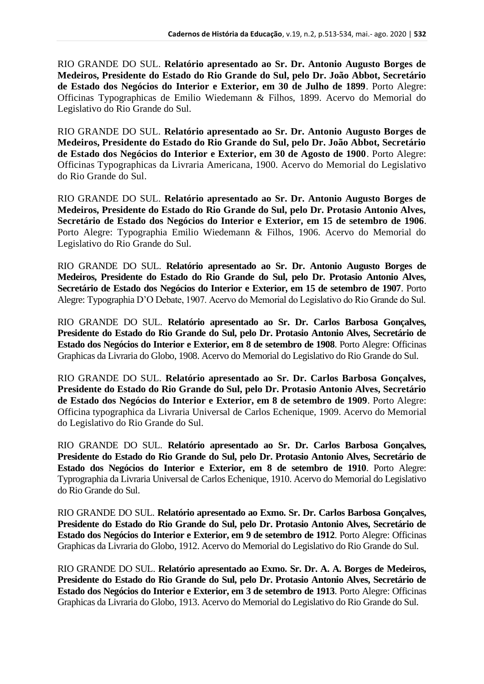RIO GRANDE DO SUL. **Relatório apresentado ao Sr. Dr. Antonio Augusto Borges de Medeiros, Presidente do Estado do Rio Grande do Sul, pelo Dr. João Abbot, Secretário de Estado dos Negócios do Interior e Exterior, em 30 de Julho de 1899**. Porto Alegre: Officinas Typographicas de Emilio Wiedemann & Filhos, 1899. Acervo do Memorial do Legislativo do Rio Grande do Sul.

RIO GRANDE DO SUL. **Relatório apresentado ao Sr. Dr. Antonio Augusto Borges de Medeiros, Presidente do Estado do Rio Grande do Sul, pelo Dr. João Abbot, Secretário de Estado dos Negócios do Interior e Exterior, em 30 de Agosto de 1900**. Porto Alegre: Officinas Typographicas da Livraria Americana, 1900. Acervo do Memorial do Legislativo do Rio Grande do Sul.

RIO GRANDE DO SUL. **Relatório apresentado ao Sr. Dr. Antonio Augusto Borges de Medeiros, Presidente do Estado do Rio Grande do Sul, pelo Dr. Protasio Antonio Alves, Secretário de Estado dos Negócios do Interior e Exterior, em 15 de setembro de 1906**. Porto Alegre: Typographia Emilio Wiedemann & Filhos, 1906. Acervo do Memorial do Legislativo do Rio Grande do Sul.

RIO GRANDE DO SUL. **Relatório apresentado ao Sr. Dr. Antonio Augusto Borges de Medeiros, Presidente do Estado do Rio Grande do Sul, pelo Dr. Protasio Antonio Alves, Secretário de Estado dos Negócios do Interior e Exterior, em 15 de setembro de 1907**. Porto Alegre: Typographia D'O Debate, 1907. Acervo do Memorial do Legislativo do Rio Grande do Sul.

RIO GRANDE DO SUL. **Relatório apresentado ao Sr. Dr. Carlos Barbosa Gonçalves, Presidente do Estado do Rio Grande do Sul, pelo Dr. Protasio Antonio Alves, Secretário de Estado dos Negócios do Interior e Exterior, em 8 de setembro de 1908**. Porto Alegre: Officinas Graphicas da Livraria do Globo, 1908. Acervo do Memorial do Legislativo do Rio Grande do Sul.

RIO GRANDE DO SUL. **Relatório apresentado ao Sr. Dr. Carlos Barbosa Gonçalves, Presidente do Estado do Rio Grande do Sul, pelo Dr. Protasio Antonio Alves, Secretário de Estado dos Negócios do Interior e Exterior, em 8 de setembro de 1909**. Porto Alegre: Officina typographica da Livraria Universal de Carlos Echenique, 1909. Acervo do Memorial do Legislativo do Rio Grande do Sul.

RIO GRANDE DO SUL. **Relatório apresentado ao Sr. Dr. Carlos Barbosa Gonçalves, Presidente do Estado do Rio Grande do Sul, pelo Dr. Protasio Antonio Alves, Secretário de Estado dos Negócios do Interior e Exterior, em 8 de setembro de 1910**. Porto Alegre: Typrographia da Livraria Universal de Carlos Echenique, 1910. Acervo do Memorial do Legislativo do Rio Grande do Sul.

RIO GRANDE DO SUL. **Relatório apresentado ao Exmo. Sr. Dr. Carlos Barbosa Gonçalves, Presidente do Estado do Rio Grande do Sul, pelo Dr. Protasio Antonio Alves, Secretário de Estado dos Negócios do Interior e Exterior, em 9 de setembro de 1912**. Porto Alegre: Officinas Graphicas da Livraria do Globo, 1912. Acervo do Memorial do Legislativo do Rio Grande do Sul.

RIO GRANDE DO SUL. **Relatório apresentado ao Exmo. Sr. Dr. A. A. Borges de Medeiros, Presidente do Estado do Rio Grande do Sul, pelo Dr. Protasio Antonio Alves, Secretário de Estado dos Negócios do Interior e Exterior, em 3 de setembro de 1913**. Porto Alegre: Officinas Graphicas da Livraria do Globo, 1913. Acervo do Memorial do Legislativo do Rio Grande do Sul.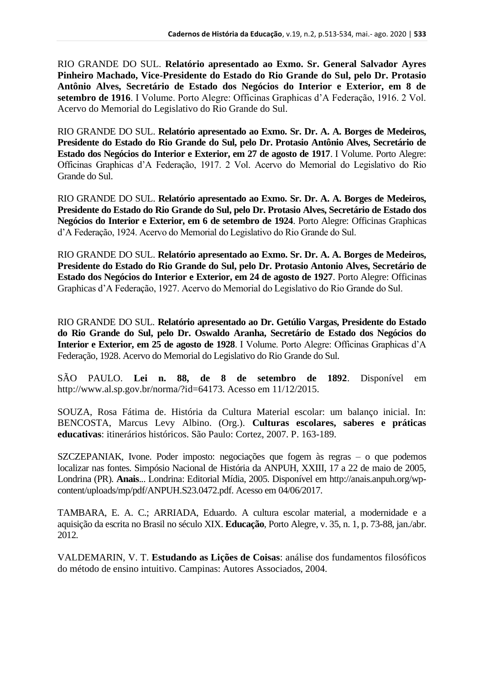RIO GRANDE DO SUL. **Relatório apresentado ao Exmo. Sr. General Salvador Ayres Pinheiro Machado, Vice-Presidente do Estado do Rio Grande do Sul, pelo Dr. Protasio Antônio Alves, Secretário de Estado dos Negócios do Interior e Exterior, em 8 de setembro de 1916**. I Volume. Porto Alegre: Officinas Graphicas d'A Federação, 1916. 2 Vol. Acervo do Memorial do Legislativo do Rio Grande do Sul.

RIO GRANDE DO SUL. **Relatório apresentado ao Exmo. Sr. Dr. A. A. Borges de Medeiros, Presidente do Estado do Rio Grande do Sul, pelo Dr. Protasio Antônio Alves, Secretário de Estado dos Negócios do Interior e Exterior, em 27 de agosto de 1917**. I Volume. Porto Alegre: Officinas Graphicas d'A Federação, 1917. 2 Vol. Acervo do Memorial do Legislativo do Rio Grande do Sul.

RIO GRANDE DO SUL. **Relatório apresentado ao Exmo. Sr. Dr. A. A. Borges de Medeiros, Presidente do Estado do Rio Grande do Sul, pelo Dr. Protasio Alves, Secretário de Estado dos Negócios do Interior e Exterior, em 6 de setembro de 1924**. Porto Alegre: Officinas Graphicas d'A Federação, 1924. Acervo do Memorial do Legislativo do Rio Grande do Sul.

RIO GRANDE DO SUL. **Relatório apresentado ao Exmo. Sr. Dr. A. A. Borges de Medeiros, Presidente do Estado do Rio Grande do Sul, pelo Dr. Protasio Antonio Alves, Secretário de Estado dos Negócios do Interior e Exterior, em 24 de agosto de 1927**. Porto Alegre: Officinas Graphicas d'A Federação, 1927. Acervo do Memorial do Legislativo do Rio Grande do Sul.

RIO GRANDE DO SUL. **Relatório apresentado ao Dr. Getúlio Vargas, Presidente do Estado do Rio Grande do Sul, pelo Dr. Oswaldo Aranha, Secretário de Estado dos Negócios do Interior e Exterior, em 25 de agosto de 1928**. I Volume. Porto Alegre: Officinas Graphicas d'A Federação, 1928. Acervo do Memorial do Legislativo do Rio Grande do Sul.

SÃO PAULO. **Lei n. 88, de 8 de setembro de 1892**. Disponível em http://www.al.sp.gov.br/norma/?id=64173. Acesso em 11/12/2015.

SOUZA, Rosa Fátima de. História da Cultura Material escolar: um balanço inicial. In: BENCOSTA, Marcus Levy Albino. (Org.). **Culturas escolares, saberes e práticas educativas**: itinerários históricos. São Paulo: Cortez, 2007. P. 163-189.

SZCZEPANIAK, Ivone. Poder imposto: negociações que fogem às regras – o que podemos localizar nas fontes. Simpósio Nacional de História da ANPUH, XXIII, 17 a 22 de maio de 2005, Londrina (PR). **Anais**... Londrina: Editorial Mídia, 2005. Disponível em http://anais.anpuh.org/wpcontent/uploads/mp/pdf/ANPUH.S23.0472.pdf. Acesso em 04/06/2017.

TAMBARA, E. A. C.; ARRIADA, Eduardo. A cultura escolar material, a modernidade e a aquisição da escrita no Brasil no século XIX. **Educação**, Porto Alegre, v. 35, n. 1, p. 73-88, jan./abr. 2012.

VALDEMARIN, V. T. **Estudando as Lições de Coisas**: análise dos fundamentos filosóficos do método de ensino intuitivo. Campinas: Autores Associados, 2004.